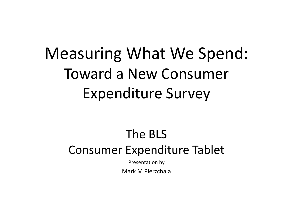### Measuring What We Spend: Toward a New Consumer Expenditure Survey

#### The BLS Consumer Expenditure Tablet

Presentation by

Mark M Pierzchala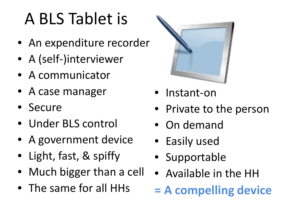# A BLS Tablet is

- An expenditure recorder
- A (self-)interviewer
- A communicator
- A case manager
- Secure
- Under BLS control
- A government device
- Light, fast, & spiffy
- Much bigger than a cell
- The same for all HHs



- Instant-on
- Private to the person
- On demand
- Easily used
- Supportable
- Available in the HH
- **= A compelling device**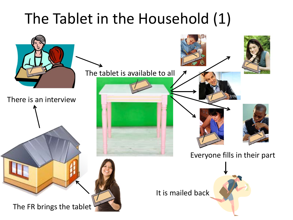#### The Tablet in the Household (1)

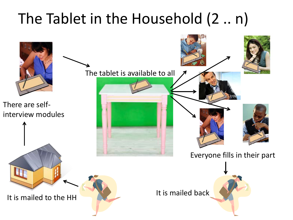### The Tablet in the Household (2 .. n)

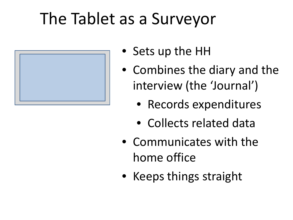## The Tablet as a Surveyor



- Sets up the HH
- Combines the diary and the interview (the 'Journal')
	- Records expenditures
	- Collects related data
- Communicates with the home office
- Keeps things straight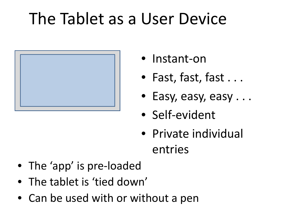# The Tablet as a User Device



- Instant-on
- Fast, fast, fast...
- Easy, easy, easy . . .
- Self-evident
- Private individual entries
- The 'app' is pre-loaded
- The tablet is 'tied down'
- Can be used with or without a pen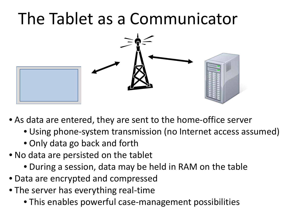## The Tablet as a Communicator



- As data are entered, they are sent to the home-office server
	- Using phone-system transmission (no Internet access assumed)
	- Only data go back and forth
- No data are persisted on the tablet
	- During a session, data may be held in RAM on the table
- Data are encrypted and compressed
- The server has everything real-time
	- This enables powerful case-management possibilities